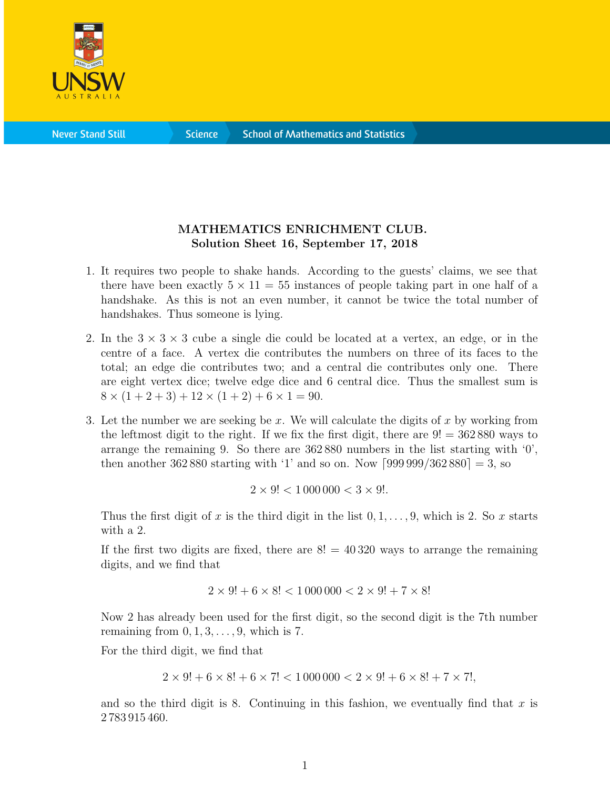

**Science** 

## MATHEMATICS ENRICHMENT CLUB. Solution Sheet 16, September 17, 2018

- 1. It requires two people to shake hands. According to the guests' claims, we see that there have been exactly  $5 \times 11 = 55$  instances of people taking part in one half of a handshake. As this is not an even number, it cannot be twice the total number of handshakes. Thus someone is lying.
- 2. In the  $3 \times 3 \times 3$  cube a single die could be located at a vertex, an edge, or in the centre of a face. A vertex die contributes the numbers on three of its faces to the total; an edge die contributes two; and a central die contributes only one. There are eight vertex dice; twelve edge dice and 6 central dice. Thus the smallest sum is  $8 \times (1 + 2 + 3) + 12 \times (1 + 2) + 6 \times 1 = 90.$
- 3. Let the number we are seeking be x. We will calculate the digits of x by working from the leftmost digit to the right. If we fix the first digit, there are  $9! = 362880$  ways to arrange the remaining 9. So there are  $362880$  numbers in the list starting with  $\langle 0 \rangle$ , then another 362 880 starting with '1' and so on. Now  $[999999/362880] = 3$ , so

$$
2\times 9!<1\,000\,000<3\times 9!.
$$

Thus the first digit of x is the third digit in the list  $0, 1, \ldots, 9$ , which is 2. So x starts with a 2.

If the first two digits are fixed, there are  $8! = 40320$  ways to arrange the remaining digits, and we find that

$$
2\times 9! + 6\times 8! < 1\,000\,000 < 2\times 9! + 7\times 8!
$$

Now 2 has already been used for the first digit, so the second digit is the 7th number remaining from  $0, 1, 3, \ldots, 9$ , which is 7.

For the third digit, we find that

$$
2 \times 9! + 6 \times 8! + 6 \times 7! < 1000\,000 < 2 \times 9! + 6 \times 8! + 7 \times 7!,
$$

and so the third digit is 8. Continuing in this fashion, we eventually find that  $x$  is 2 783 915 460.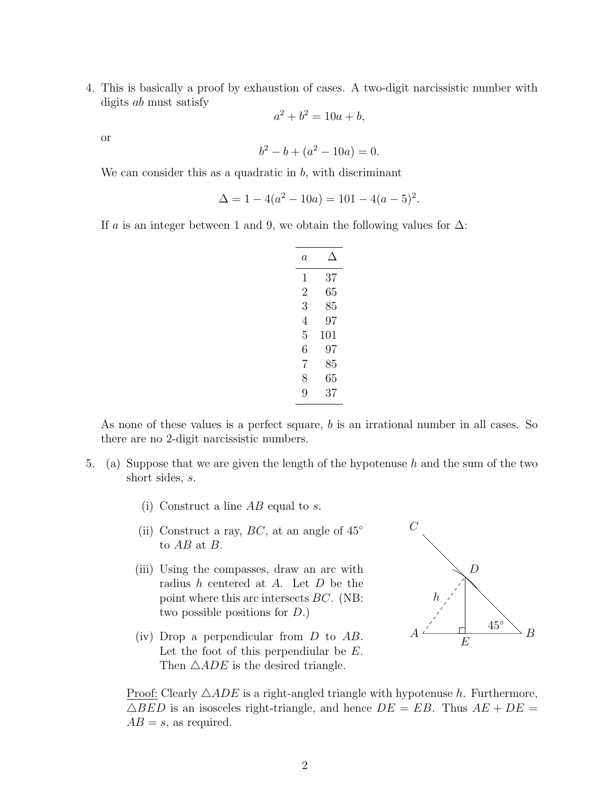4. This is basically a proof by exhaustion of cases. A two-digit narcissistic number with digits ab must satisfy

$$
a^2 + b^2 = 10a + b,
$$

or

$$
b^2 - b + (a^2 - 10a) = 0.
$$

We can consider this as a quadratic in  $b$ , with discriminant

$$
\Delta = 1 - 4(a^2 - 10a) = 101 - 4(a - 5)^2.
$$

If a is an integer between 1 and 9, we obtain the following values for  $\Delta$ :

| a |     |
|---|-----|
| 1 | 37  |
| 2 | 65  |
| 3 | 85  |
| 4 | 97  |
| 5 | 101 |
| 6 | 97  |
| 7 | 85  |
| 8 | 65  |
| 9 | 37  |

As none of these values is a perfect square, b is an irrational number in all cases. So there are no 2-digit narcissistic numbers.

- 5. (a) Suppose that we are given the length of the hypotenuse h and the sum of the two short sides, s.
	- (i) Construct a line  $AB$  equal to s.
	- (ii) Construct a ray,  $BC$ , at an angle of  $45^\circ$ to AB at B.
	- (iii) Using the compasses, draw an arc with radius h centered at A. Let D be the point where this arc intersects BC. (NB: two possible positions for D.)
	- (iv) Drop a perpendicular from D to AB. Let the foot of this perpendiular be E. Then  $\triangle ADE$  is the desired triangle.



Proof: Clearly  $\triangle ADE$  is a right-angled triangle with hypotenuse h. Furthermore,  $\triangle BED$  is an isosceles right-triangle, and hence  $DE = EB$ . Thus  $AE + DE =$  $AB = s$ , as required.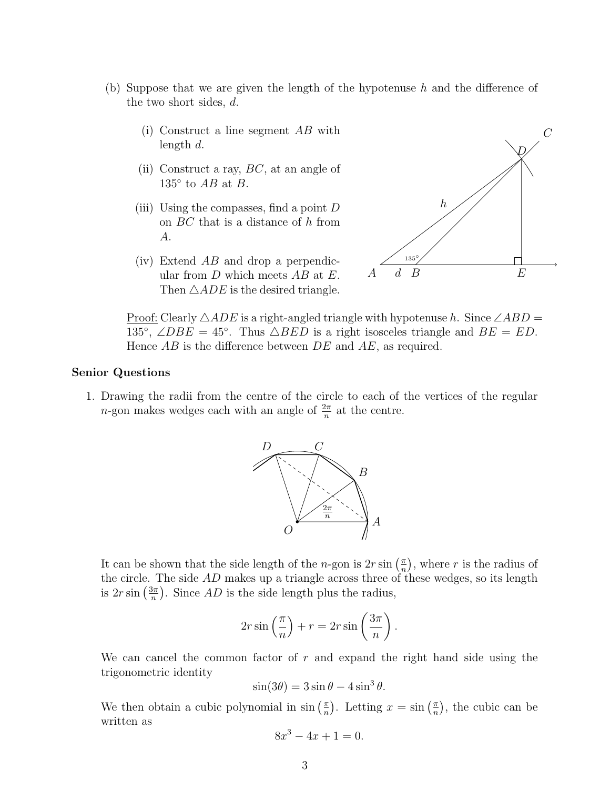- (b) Suppose that we are given the length of the hypotenuse h and the difference of the two short sides, d.
	- (i) Construct a line segment AB with length d.
	- (ii) Construct a ray,  $BC$ , at an angle of 135 $\degree$  to AB at B.
	- (iii) Using the compasses, find a point  $D$ on BC that is a distance of h from A.
	- (iv) Extend AB and drop a perpendicular from  $D$  which meets  $AB$  at  $E$ . Then  $\triangle ADE$  is the desired triangle.



Proof: Clearly  $\triangle ADE$  is a right-angled triangle with hypotenuse h. Since  $\angle ABD$  = 135°,  $\angle DBE = 45^\circ$ . Thus  $\triangle BED$  is a right isosceles triangle and  $BE = ED$ . Hence  $AB$  is the difference between  $DE$  and  $AE$ , as required.

## Senior Questions

1. Drawing the radii from the centre of the circle to each of the vertices of the regular *n*-gon makes wedges each with an angle of  $\frac{2\pi}{n}$  at the centre.



It can be shown that the side length of the *n*-gon is  $2r \sin\left(\frac{\pi}{n}\right)$  $(\frac{\pi}{n})$ , where r is the radius of the circle. The side AD makes up a triangle across three of these wedges, so its length is  $2r\sin\left(\frac{3\pi}{n}\right)$  $\frac{3\pi}{n}$ ). Since AD is the side length plus the radius,

$$
2r\sin\left(\frac{\pi}{n}\right) + r = 2r\sin\left(\frac{3\pi}{n}\right).
$$

We can cancel the common factor of  $r$  and expand the right hand side using the trigonometric identity

$$
\sin(3\theta) = 3\sin\theta - 4\sin^3\theta.
$$

We then obtain a cubic polynomial in  $\sin\left(\frac{\pi}{n}\right)$  $(\frac{\pi}{n})$ . Letting  $x = \sin(\frac{\pi}{n})$  $(\frac{\pi}{n})$ , the cubic can be written as

$$
8x^3 - 4x + 1 = 0.
$$